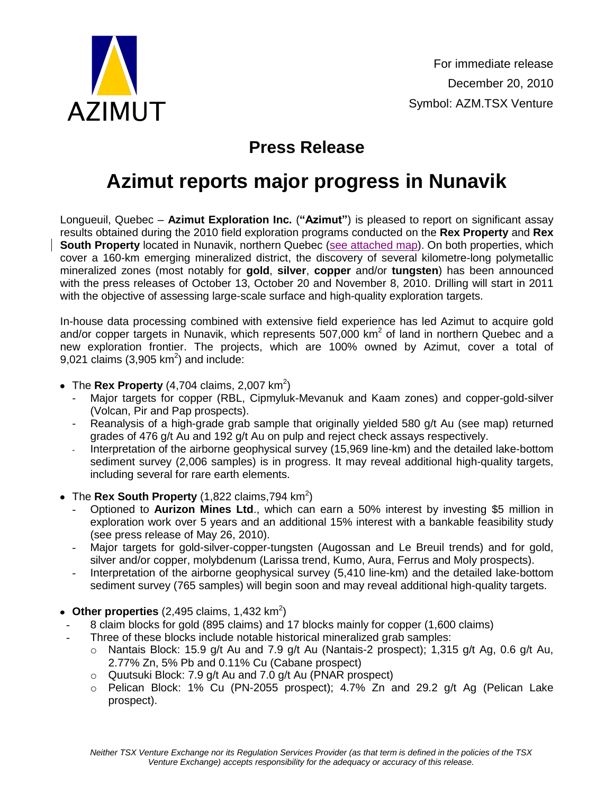

## **Press Release**

## **Azimut reports major progress in Nunavik**

Longueuil, Quebec – **Azimut Exploration Inc.** (**"Azimut"**) is pleased to report on significant assay results obtained during the 2010 field exploration programs conducted on the **Rex Property** and **Rex South Property** located in Nunavik, northern Quebec [\(see attached map\)](http://www.azimut-exploration.com/en/presentations/AZM_NunavikUpdate_Dec2010_Fig.pdf). On both properties, which cover a 160-km emerging mineralized district, the discovery of several kilometre-long polymetallic mineralized zones (most notably for **gold**, **silver**, **copper** and/or **tungsten**) has been announced with the press releases of October 13, October 20 and November 8, 2010. Drilling will start in 2011 with the objective of assessing large-scale surface and high-quality exploration targets.

In-house data processing combined with extensive field experience has led Azimut to acquire gold and/or copper targets in Nunavik, which represents 507,000 km<sup>2</sup> of land in northern Quebec and a new exploration frontier. The projects, which are 100% owned by Azimut, cover a total of 9,021 claims (3,905 km<sup>2</sup>) and include:

- The **Rex Property** (4,704 claims, 2,007 km<sup>2</sup>)
	- Major targets for copper (RBL, Cipmyluk-Mevanuk and Kaam zones) and copper-gold-silver (Volcan, Pir and Pap prospects).
	- Reanalysis of a high-grade grab sample that originally yielded 580 g/t Au (see map) returned grades of 476 g/t Au and 192 g/t Au on pulp and reject check assays respectively.
	- Interpretation of the airborne geophysical survey (15,969 line-km) and the detailed lake-bottom sediment survey (2,006 samples) is in progress. It may reveal additional high-quality targets, including several for rare earth elements.
- The **Rex South Property** (1,822 claims,794 km<sup>2</sup>)
	- Optioned to **Aurizon Mines Ltd**., which can earn a 50% interest by investing \$5 million in exploration work over 5 years and an additional 15% interest with a bankable feasibility study (see press release of May 26, 2010).
	- Major targets for gold-silver-copper-tungsten (Augossan and Le Breuil trends) and for gold, silver and/or copper, molybdenum (Larissa trend, Kumo, Aura, Ferrus and Moly prospects).
	- Interpretation of the airborne geophysical survey (5,410 line-km) and the detailed lake-bottom sediment survey (765 samples) will begin soon and may reveal additional high-quality targets.
- **Other properties** (2,495 claims, 1,432  $km^2$ )
- 8 claim blocks for gold (895 claims) and 17 blocks mainly for copper (1,600 claims)
- Three of these blocks include notable historical mineralized grab samples:
	- $\circ$  Nantais Block: 15.9 g/t Au and 7.9 g/t Au (Nantais-2 prospect); 1,315 g/t Ag, 0.6 g/t Au, 2.77% Zn, 5% Pb and 0.11% Cu (Cabane prospect)
	- $\circ$  Quutsuki Block: 7.9 g/t Au and 7.0 g/t Au (PNAR prospect)
	- $\circ$  Pelican Block: 1% Cu (PN-2055 prospect); 4.7% Zn and 29.2 g/t Ag (Pelican Lake prospect).